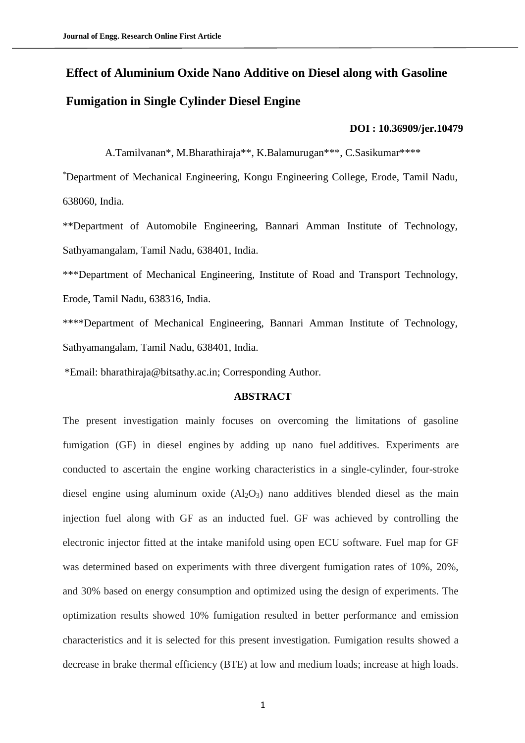# **Effect of Aluminium Oxide Nano Additive on Diesel along with Gasoline Fumigation in Single Cylinder Diesel Engine**

#### **DOI : [10.36909/jer.10479](https://doi.org/10.36909/jer.10479)**

A.Tamilvanan\*, M.Bharathiraja\*\*, K.Balamurugan\*\*\*, C.Sasikumar\*\*\*\*

\*Department of Mechanical Engineering, Kongu Engineering College, Erode, Tamil Nadu, 638060, India.

\*\*Department of Automobile Engineering, Bannari Amman Institute of Technology, Sathyamangalam, Tamil Nadu, 638401, India.

\*\*\*Department of Mechanical Engineering, Institute of Road and Transport Technology, Erode, Tamil Nadu, 638316, India.

\*\*\*\*Department of Mechanical Engineering, Bannari Amman Institute of Technology, Sathyamangalam, Tamil Nadu, 638401, India.

\*Email: bharathiraja@bitsathy.ac.in; Corresponding Author.

# **ABSTRACT**

The present investigation mainly focuses on overcoming the limitations of gasoline fumigation (GF) in diesel engines by adding up nano fuel additives. Experiments are conducted to ascertain the engine working characteristics in a single-cylinder, four-stroke diesel engine using aluminum oxide  $(Al_2O_3)$  nano additives blended diesel as the main injection fuel along with GF as an inducted fuel. GF was achieved by controlling the electronic injector fitted at the intake manifold using open ECU software. Fuel map for GF was determined based on experiments with three divergent fumigation rates of 10%, 20%, and 30% based on energy consumption and optimized using the design of experiments. The optimization results showed 10% fumigation resulted in better performance and emission characteristics and it is selected for this present investigation. Fumigation results showed a decrease in brake thermal efficiency (BTE) at low and medium loads; increase at high loads.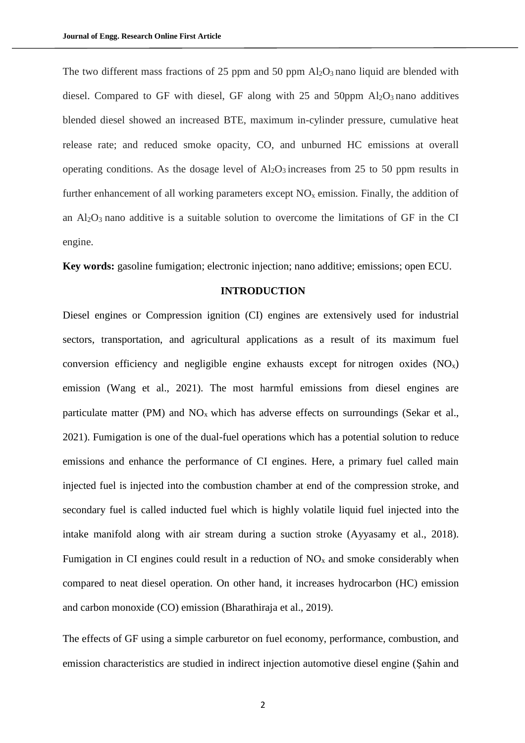The two different mass fractions of 25 ppm and 50 ppm  $\text{Al}_2\text{O}_3$  nano liquid are blended with diesel. Compared to GF with diesel, GF along with  $25$  and  $50$ ppm  $Al_2O_3$  nano additives blended diesel showed an increased BTE, maximum in-cylinder pressure, cumulative heat release rate; and reduced smoke opacity, CO, and unburned HC emissions at overall operating conditions. As the dosage level of  $Al_2O_3$  increases from 25 to 50 ppm results in further enhancement of all working parameters except  $NO<sub>x</sub>$  emission. Finally, the addition of an  $Al_2O_3$  nano additive is a suitable solution to overcome the limitations of GF in the CI engine.

**Key words:** gasoline fumigation; electronic injection; nano additive; emissions; open ECU.

# **INTRODUCTION**

Diesel engines or Compression ignition (CI) engines are extensively used for industrial sectors, transportation, and agricultural applications as a result of its maximum fuel conversion efficiency and negligible engine exhausts except for nitrogen oxides  $(NO<sub>x</sub>)$ emission (Wang et al., 2021). The most harmful emissions from diesel engines are particulate matter (PM) and  $NO<sub>x</sub>$  which has adverse effects on surroundings (Sekar et al., 2021). Fumigation is one of the dual-fuel operations which has a potential solution to reduce emissions and enhance the performance of CI engines. Here, a primary fuel called main injected fuel is injected into the combustion chamber at end of the compression stroke, and secondary fuel is called inducted fuel which is highly volatile liquid fuel injected into the intake manifold along with air stream during a suction stroke (Ayyasamy et al., 2018). Fumigation in CI engines could result in a reduction of  $NO<sub>x</sub>$  and smoke considerably when compared to neat diesel operation. On other hand, it increases hydrocarbon (HC) emission and carbon monoxide (CO) emission (Bharathiraja et al., 2019).

The effects of GF using a simple carburetor on fuel economy, performance, combustion, and emission characteristics are studied in indirect injection automotive diesel engine (Şahin and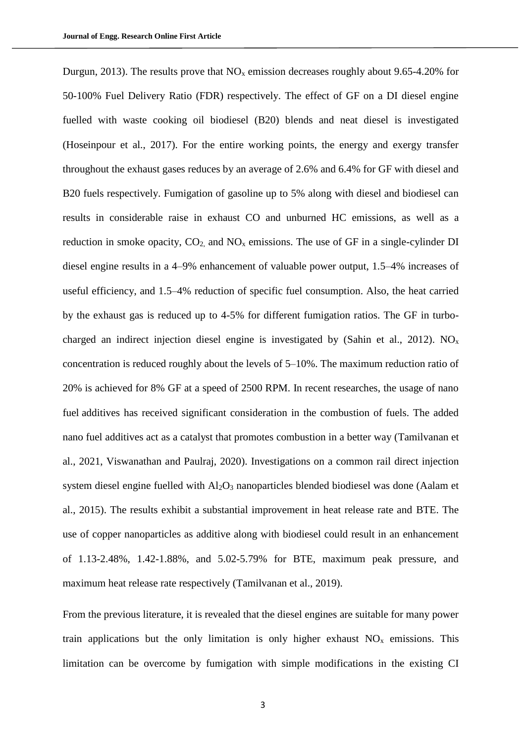Durgun, 2013). The results prove that  $NO<sub>x</sub>$  emission decreases roughly about 9.65-4.20% for 50-100% Fuel Delivery Ratio (FDR) respectively. The effect of GF on a DI diesel engine fuelled with waste cooking oil biodiesel (B20) blends and neat diesel is investigated (Hoseinpour et al., 2017). For the entire working points, the energy and exergy transfer throughout the exhaust gases reduces by an average of 2.6% and 6.4% for GF with diesel and B20 fuels respectively. Fumigation of gasoline up to 5% along with diesel and biodiesel can results in considerable raise in exhaust CO and unburned HC emissions, as well as a reduction in smoke opacity,  $CO<sub>2</sub>$  and  $NO<sub>x</sub>$  emissions. The use of GF in a single-cylinder DI diesel engine results in a 4–9% enhancement of valuable power output, 1.5–4% increases of useful efficiency, and 1.5–4% reduction of specific fuel consumption. Also, the heat carried by the exhaust gas is reduced up to 4-5% for different fumigation ratios. The GF in turbocharged an indirect injection diesel engine is investigated by (Sahin et al., 2012). NO<sub>x</sub> concentration is reduced roughly about the levels of 5–10%. The maximum reduction ratio of 20% is achieved for 8% GF at a speed of 2500 RPM. In recent researches, the usage of nano fuel additives has received significant consideration in the combustion of fuels. The added nano fuel additives act as a catalyst that promotes combustion in a better way (Tamilvanan et al., 2021, Viswanathan and Paulraj, 2020). Investigations on a common rail direct injection system diesel engine fuelled with Al<sub>2</sub>O<sub>3</sub> nanoparticles blended biodiesel was done (Aalam et al., 2015). The results exhibit a substantial improvement in heat release rate and BTE. The use of copper nanoparticles as additive along with biodiesel could result in an enhancement of 1.13-2.48%, 1.42-1.88%, and 5.02-5.79% for BTE, maximum peak pressure, and maximum heat release rate respectively (Tamilvanan et al., 2019).

From the previous literature, it is revealed that the diesel engines are suitable for many power train applications but the only limitation is only higher exhaust  $NO<sub>x</sub>$  emissions. This limitation can be overcome by fumigation with simple modifications in the existing CI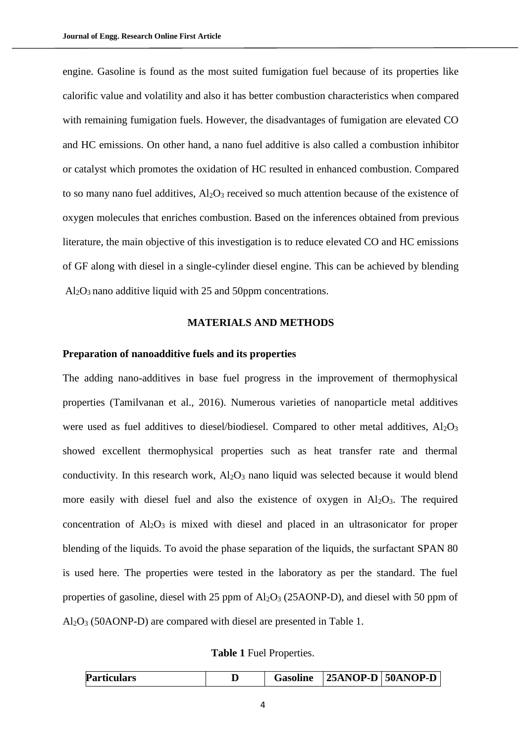engine. Gasoline is found as the most suited fumigation fuel because of its properties like calorific value and volatility and also it has better combustion characteristics when compared with remaining fumigation fuels. However, the disadvantages of fumigation are elevated CO and HC emissions. On other hand, a nano fuel additive is also called a combustion inhibitor or catalyst which promotes the oxidation of HC resulted in enhanced combustion. Compared to so many nano fuel additives,  $Al_2O_3$  received so much attention because of the existence of oxygen molecules that enriches combustion. Based on the inferences obtained from previous literature, the main objective of this investigation is to reduce elevated CO and HC emissions of GF along with diesel in a single-cylinder diesel engine. This can be achieved by blending Al2O3 nano additive liquid with 25 and 50ppm concentrations.

## **MATERIALS AND METHODS**

## **Preparation of nanoadditive fuels and its properties**

The adding nano-additives in base fuel progress in the improvement of thermophysical properties (Tamilvanan et al., 2016). Numerous varieties of nanoparticle metal additives were used as fuel additives to diesel/biodiesel. Compared to other metal additives, Al<sub>2</sub>O<sub>3</sub> showed excellent thermophysical properties such as heat transfer rate and thermal conductivity. In this research work,  $Al_2O_3$  nano liquid was selected because it would blend more easily with diesel fuel and also the existence of oxygen in  $Al_2O_3$ . The required concentration of Al<sub>2</sub>O<sub>3</sub> is mixed with diesel and placed in an ultrasonicator for proper blending of the liquids. To avoid the phase separation of the liquids, the surfactant SPAN 80 is used here. The properties were tested in the laboratory as per the standard. The fuel properties of gasoline, diesel with  $25$  ppm of  $Al_2O_3$  ( $25AONP-D$ ), and diesel with  $50$  ppm of Al2O<sup>3</sup> (50AONP-D) are compared with diesel are presented in Table 1.

**Table 1** Fuel Properties.

| <b>Particulars</b> |  | <b>Gasoline</b> | ' 25ANOP-D   50ANOP-D |  |
|--------------------|--|-----------------|-----------------------|--|
|--------------------|--|-----------------|-----------------------|--|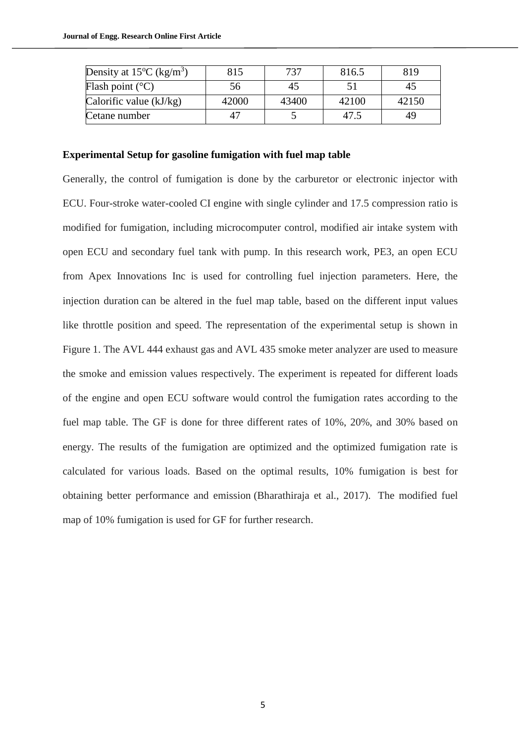| Density at $15^{\circ}$ C (kg/m <sup>3</sup> ) | 815   | 737   | 816.5 | 819   |
|------------------------------------------------|-------|-------|-------|-------|
| Flash point $(^{\circ}C)$                      | 56    | 45    |       | 40    |
| Calorific value $(kJ/kg)$                      | 42000 | 43400 | 42100 | 42150 |
| Cetane number                                  |       |       |       | 49    |

# **Experimental Setup for gasoline fumigation with fuel map table**

Generally, the control of fumigation is done by the carburetor or electronic injector with ECU. Four-stroke water-cooled CI engine with single cylinder and 17.5 compression ratio is modified for fumigation, including microcomputer control, modified air intake system with open ECU and secondary fuel tank with pump. In this research work, PE3, an open ECU from Apex Innovations Inc is used for controlling fuel injection parameters. Here, the injection duration can be altered in the fuel map table, based on the different input values like throttle position and speed. The representation of the experimental setup is shown in Figure 1. The AVL 444 exhaust gas and AVL 435 smoke meter analyzer are used to measure the smoke and emission values respectively. The experiment is repeated for different loads of the engine and open ECU software would control the fumigation rates according to the fuel map table. The GF is done for three different rates of 10%, 20%, and 30% based on energy. The results of the fumigation are optimized and the optimized fumigation rate is calculated for various loads. Based on the optimal results, 10% fumigation is best for obtaining better performance and emission (Bharathiraja et al., 2017). The modified fuel map of 10% fumigation is used for GF for further research.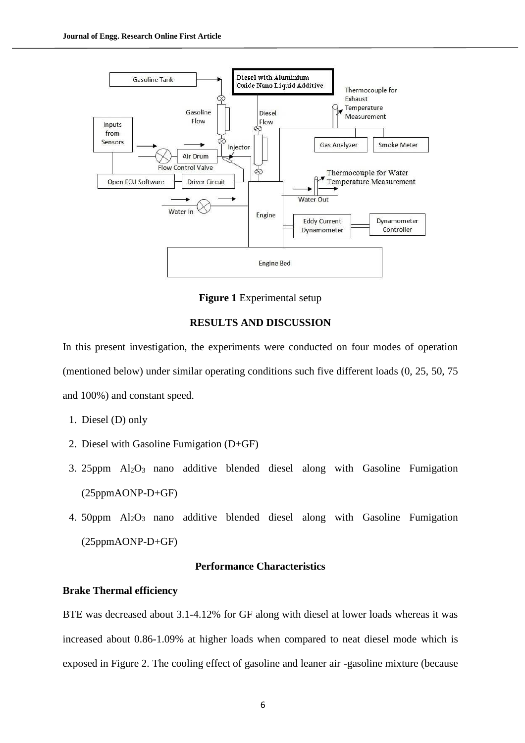

**Figure 1** Experimental setup

## **RESULTS AND DISCUSSION**

In this present investigation, the experiments were conducted on four modes of operation (mentioned below) under similar operating conditions such five different loads (0, 25, 50, 75 and 100%) and constant speed.

- 1. Diesel (D) only
- 2. Diesel with Gasoline Fumigation (D+GF)
- 3. 25ppm Al2O3 nano additive blended diesel along with Gasoline Fumigation (25ppmAONP-D+GF)
- 4. 50ppm  $\text{Al}_2\text{O}_3$  nano additive blended diesel along with Gasoline Fumigation (25ppmAONP-D+GF)

# **Performance Characteristics**

# **Brake Thermal efficiency**

BTE was decreased about 3.1-4.12% for GF along with diesel at lower loads whereas it was increased about 0.86-1.09% at higher loads when compared to neat diesel mode which is exposed in Figure 2. The cooling effect of gasoline and leaner air -gasoline mixture (because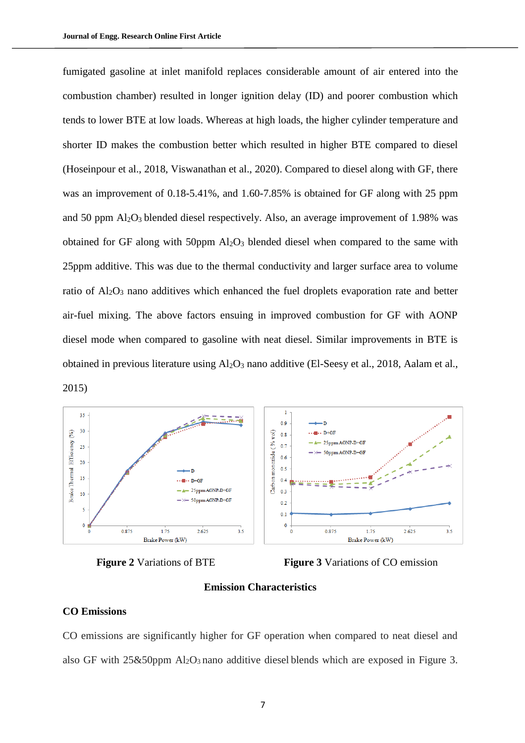fumigated gasoline at inlet manifold replaces considerable amount of air entered into the combustion chamber) resulted in longer ignition delay (ID) and poorer combustion which tends to lower BTE at low loads. Whereas at high loads, the higher cylinder temperature and shorter ID makes the combustion better which resulted in higher BTE compared to diesel (Hoseinpour et al., 2018, [Viswanathan et al., 2020\)](#page-15-0). Compared to diesel along with GF, there was an improvement of 0.18-5.41%, and 1.60-7.85% is obtained for GF along with 25 ppm and 50 ppm Al2O3 blended diesel respectively. Also, an average improvement of 1.98% was obtained for GF along with 50ppm  $Al_2O_3$  blended diesel when compared to the same with 25ppm additive. This was due to the thermal conductivity and larger surface area to volume ratio of Al<sub>2</sub>O<sub>3</sub> nano additives which enhanced the fuel droplets evaporation rate and better air-fuel mixing. The above factors ensuing in improved combustion for GF with AONP diesel mode when compared to gasoline with neat diesel. Similar improvements in BTE is obtained in previous literature using  $A<sub>12</sub>O<sub>3</sub>$  nano additive (El-Seesy et al., 2018, Aalam et al., 2015)





**Figure 2** Variations of BTE **Figure 3** Variations of CO emission

# **Emission Characteristics**

#### **CO Emissions**

CO emissions are significantly higher for GF operation when compared to neat diesel and also GF with  $25\&50$ ppm Al<sub>2</sub>O<sub>3</sub> nano additive diesel blends which are exposed in Figure 3.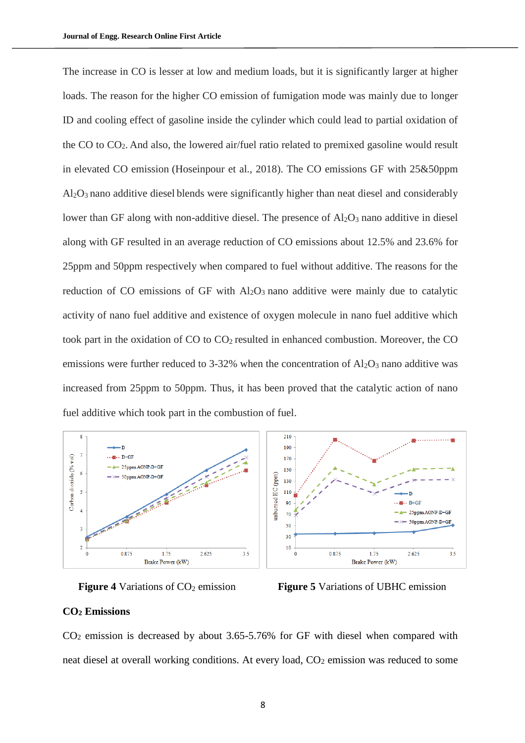The increase in CO is lesser at low and medium loads, but it is significantly larger at higher loads. The reason for the higher CO emission of fumigation mode was mainly due to longer ID and cooling effect of gasoline inside the cylinder which could lead to partial oxidation of the CO to CO2. And also, the lowered air/fuel ratio related to premixed gasoline would result in elevated CO emission (Hoseinpour et al., 2018). The CO emissions GF with 25&50ppm Al2O<sup>3</sup> nano additive diesel blends were significantly higher than neat diesel and considerably lower than GF along with non-additive diesel. The presence of  $Al_2O_3$  nano additive in diesel along with GF resulted in an average reduction of CO emissions about 12.5% and 23.6% for 25ppm and 50ppm respectively when compared to fuel without additive. The reasons for the reduction of CO emissions of GF with  $Al_2O_3$  nano additive were mainly due to catalytic activity of nano fuel additive and existence of oxygen molecule in nano fuel additive which took part in the oxidation of  $CO$  to  $CO<sub>2</sub>$  resulted in enhanced combustion. Moreover, the  $CO$ emissions were further reduced to 3-32% when the concentration of  $Al_2O_3$  nano additive was increased from 25ppm to 50ppm. Thus, it has been proved that the catalytic action of nano fuel additive which took part in the combustion of fuel.







#### **CO<sup>2</sup> Emissions**

CO<sup>2</sup> emission is decreased by about 3.65-5.76% for GF with diesel when compared with neat diesel at overall working conditions. At every load,  $CO<sub>2</sub>$  emission was reduced to some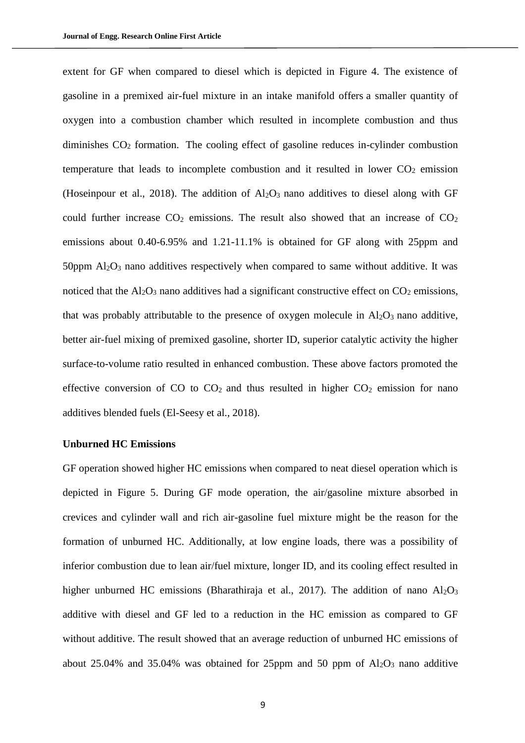extent for GF when compared to diesel which is depicted in Figure 4. The existence of gasoline in a premixed air-fuel mixture in an intake manifold offers a smaller quantity of oxygen into a combustion chamber which resulted in incomplete combustion and thus diminishes  $CO<sub>2</sub>$  formation. The cooling effect of gasoline reduces in-cylinder combustion temperature that leads to incomplete combustion and it resulted in lower  $CO<sub>2</sub>$  emission (Hoseinpour et al., 2018). The addition of  $Al_2O_3$  nano additives to diesel along with GF could further increase  $CO<sub>2</sub>$  emissions. The result also showed that an increase of  $CO<sub>2</sub>$ emissions about 0.40-6.95% and 1.21-11.1% is obtained for GF along with 25ppm and 50ppm  $\text{Al}_2\text{O}_3$  nano additives respectively when compared to same without additive. It was noticed that the  $Al_2O_3$  nano additives had a significant constructive effect on  $CO_2$  emissions, that was probably attributable to the presence of oxygen molecule in  $Al_2O_3$  nano additive, better air-fuel mixing of premixed gasoline, shorter ID, superior catalytic activity the higher surface-to-volume ratio resulted in enhanced combustion. These above factors promoted the effective conversion of CO to  $CO<sub>2</sub>$  and thus resulted in higher  $CO<sub>2</sub>$  emission for nano additives blended fuels (El-Seesy et al., 2018).

#### **Unburned HC Emissions**

GF operation showed higher HC emissions when compared to neat diesel operation which is depicted in Figure 5. During GF mode operation, the air/gasoline mixture absorbed in crevices and cylinder wall and rich air-gasoline fuel mixture might be the reason for the formation of unburned HC. Additionally, at low engine loads, there was a possibility of inferior combustion due to lean air/fuel mixture, longer ID, and its cooling effect resulted in higher unburned HC emissions (Bharathiraja et al., 2017). The addition of nano  $Al_2O_3$ additive with diesel and GF led to a reduction in the HC emission as compared to GF without additive. The result showed that an average reduction of unburned HC emissions of about 25.04% and 35.04% was obtained for 25ppm and 50 ppm of  $Al_2O_3$  nano additive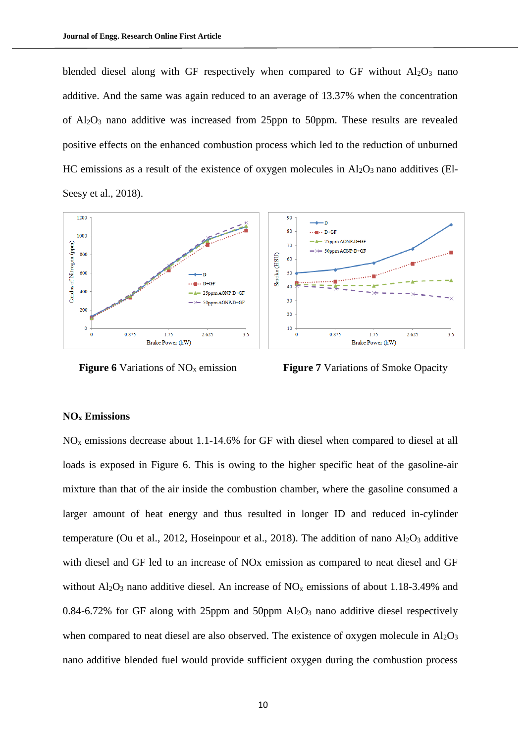blended diesel along with GF respectively when compared to GF without  $Al_2O_3$  nano additive. And the same was again reduced to an average of 13.37% when the concentration of  $Al_2O_3$  nano additive was increased from 25ppn to 50ppm. These results are revealed positive effects on the enhanced combustion process which led to the reduction of unburned HC emissions as a result of the existence of oxygen molecules in  $Al_2O_3$  nano additives (El-Seesy et al., 2018).



**Figure 6** Variations of NO<sub>x</sub> emission **Figure 7** Variations of Smoke Opacity

# **NO<sup>x</sup> Emissions**

 $NO<sub>x</sub>$  emissions decrease about 1.1-14.6% for GF with diesel when compared to diesel at all loads is exposed in Figure 6. This is owing to the higher specific heat of the gasoline-air mixture than that of the air inside the combustion chamber, where the gasoline consumed a larger amount of heat energy and thus resulted in longer ID and reduced in-cylinder temperature (Ou et al., 2012, Hoseinpour et al., 2018). The addition of nano  $Al_2O_3$  additive with diesel and GF led to an increase of NOx emission as compared to neat diesel and GF without  $A_2O_3$  nano additive diesel. An increase of  $NO<sub>x</sub>$  emissions of about 1.18-3.49% and 0.84-6.72% for GF along with 25ppm and 50ppm  $Al_2O_3$  nano additive diesel respectively when compared to neat diesel are also observed. The existence of oxygen molecule in  $A1_2O_3$ nano additive blended fuel would provide sufficient oxygen during the combustion process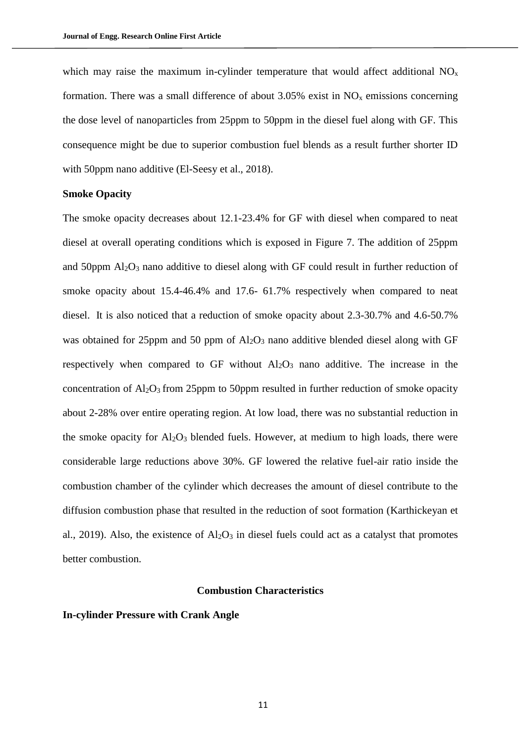which may raise the maximum in-cylinder temperature that would affect additional  $NO<sub>x</sub>$ formation. There was a small difference of about  $3.05\%$  exist in NO<sub>x</sub> emissions concerning the dose level of nanoparticles from 25ppm to 50ppm in the diesel fuel along with GF. This consequence might be due to superior combustion fuel blends as a result further shorter ID with 50ppm nano additive (El-Seesy et al., 2018).

# **Smoke Opacity**

The smoke opacity decreases about 12.1-23.4% for GF with diesel when compared to neat diesel at overall operating conditions which is exposed in Figure 7. The addition of 25ppm and 50ppm  $Al_2O_3$  nano additive to diesel along with GF could result in further reduction of smoke opacity about 15.4-46.4% and 17.6- 61.7% respectively when compared to neat diesel. It is also noticed that a reduction of smoke opacity about 2.3-30.7% and 4.6-50.7% was obtained for 25ppm and 50 ppm of Al<sub>2</sub>O<sub>3</sub> nano additive blended diesel along with GF respectively when compared to GF without  $Al_2O_3$  nano additive. The increase in the concentration of  $Al_2O_3$  from 25ppm to 50ppm resulted in further reduction of smoke opacity about 2-28% over entire operating region. At low load, there was no substantial reduction in the smoke opacity for  $Al_2O_3$  blended fuels. However, at medium to high loads, there were considerable large reductions above 30%. GF lowered the relative fuel-air ratio inside the combustion chamber of the cylinder which decreases the amount of diesel contribute to the diffusion combustion phase that resulted in the reduction of soot formation (Karthickeyan et al., 2019). Also, the existence of  $Al_2O_3$  in diesel fuels could act as a catalyst that promotes better combustion.

## **Combustion Characteristics**

# **In-cylinder Pressure with Crank Angle**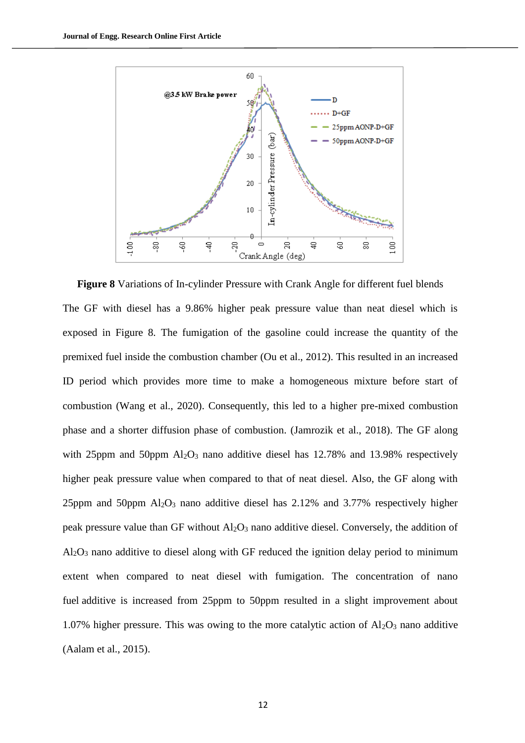

**Figure 8** Variations of In-cylinder Pressure with Crank Angle for different fuel blends The GF with diesel has a 9.86% higher peak pressure value than neat diesel which is exposed in Figure 8. The fumigation of the gasoline could increase the quantity of the premixed fuel inside the combustion chamber (Ou et al., 2012). This resulted in an increased ID period which provides more time to make a homogeneous mixture before start of combustion (Wang et al., 2020). Consequently, this led to a higher pre-mixed combustion phase and a shorter diffusion phase of combustion. (Jamrozik et al., 2018). The GF along with 25ppm and 50ppm  $Al_2O_3$  nano additive diesel has 12.78% and 13.98% respectively higher peak pressure value when compared to that of neat diesel. Also, the GF along with 25ppm and 50ppm  $Al_2O_3$  nano additive diesel has 2.12% and 3.77% respectively higher peak pressure value than GF without  $Al_2O_3$  nano additive diesel. Conversely, the addition of Al2O<sup>3</sup> nano additive to diesel along with GF reduced the ignition delay period to minimum extent when compared to neat diesel with fumigation. The concentration of nano fuel additive is increased from 25ppm to 50ppm resulted in a slight improvement about 1.07% higher pressure. This was owing to the more catalytic action of  $Al_2O_3$  nano additive (Aalam et al., 2015).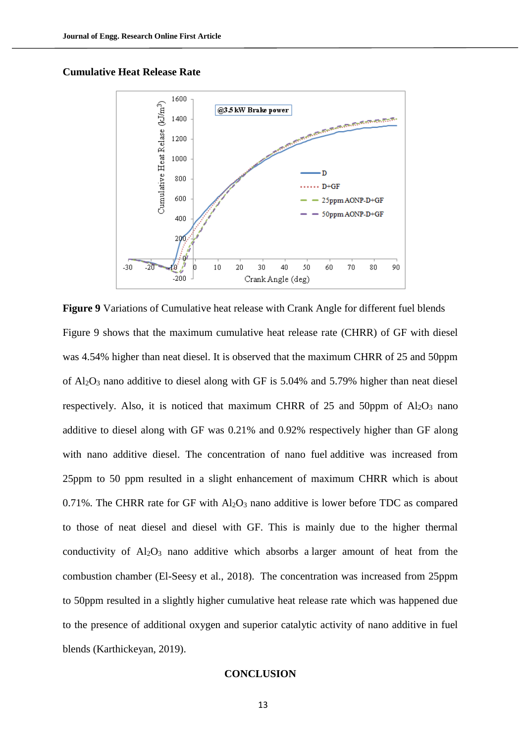# **Cumulative Heat Release Rate**



**Figure 9** Variations of Cumulative heat release with Crank Angle for different fuel blends Figure 9 shows that the maximum cumulative heat release rate (CHRR) of GF with diesel was 4.54% higher than neat diesel. It is observed that the maximum CHRR of 25 and 50ppm of  $Al_2O_3$  nano additive to diesel along with GF is 5.04% and 5.79% higher than neat diesel respectively. Also, it is noticed that maximum CHRR of 25 and 50ppm of  $Al_2O_3$  nano additive to diesel along with GF was 0.21% and 0.92% respectively higher than GF along with nano additive diesel. The concentration of nano fuel additive was increased from 25ppm to 50 ppm resulted in a slight enhancement of maximum CHRR which is about 0.71%. The CHRR rate for GF with  $Al_2O_3$  nano additive is lower before TDC as compared to those of neat diesel and diesel with GF. This is mainly due to the higher thermal conductivity of  $Al_2O_3$  nano additive which absorbs a larger amount of heat from the combustion chamber (El-Seesy et al., 2018). The concentration was increased from 25ppm to 50ppm resulted in a slightly higher cumulative heat release rate which was happened due to the presence of additional oxygen and superior catalytic activity of nano additive in fuel blends (Karthickeyan, 2019).

#### **CONCLUSION**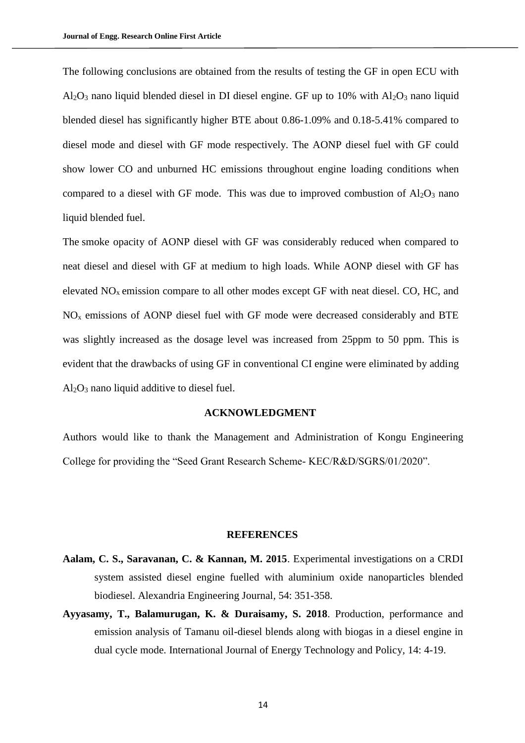The following conclusions are obtained from the results of testing the GF in open ECU with  $Al_2O_3$  nano liquid blended diesel in DI diesel engine. GF up to 10% with  $Al_2O_3$  nano liquid blended diesel has significantly higher BTE about 0.86-1.09% and 0.18-5.41% compared to diesel mode and diesel with GF mode respectively. The AONP diesel fuel with GF could show lower CO and unburned HC emissions throughout engine loading conditions when compared to a diesel with GF mode. This was due to improved combustion of  $Al_2O_3$  nano liquid blended fuel.

The smoke opacity of AONP diesel with GF was considerably reduced when compared to neat diesel and diesel with GF at medium to high loads. While AONP diesel with GF has elevated NOx emission compare to all other modes except GF with neat diesel. CO, HC, and  $NO<sub>x</sub>$  emissions of AONP diesel fuel with GF mode were decreased considerably and BTE was slightly increased as the dosage level was increased from 25ppm to 50 ppm. This is evident that the drawbacks of using GF in conventional CI engine were eliminated by adding  $Al<sub>2</sub>O<sub>3</sub>$  nano liquid additive to diesel fuel.

# **ACKNOWLEDGMENT**

Authors would like to thank the Management and Administration of Kongu Engineering College for providing the "Seed Grant Research Scheme- KEC/R&D/SGRS/01/2020".

#### **REFERENCES**

- **Aalam, C. S., Saravanan, C. & Kannan, M. 2015**. Experimental investigations on a CRDI system assisted diesel engine fuelled with aluminium oxide nanoparticles blended biodiesel. Alexandria Engineering Journal*,* 54: 351-358.
- **Ayyasamy, T., Balamurugan, K. & Duraisamy, S. 2018**. Production, performance and emission analysis of Tamanu oil-diesel blends along with biogas in a diesel engine in dual cycle mode. International Journal of Energy Technology and Policy*,* 14: 4-19.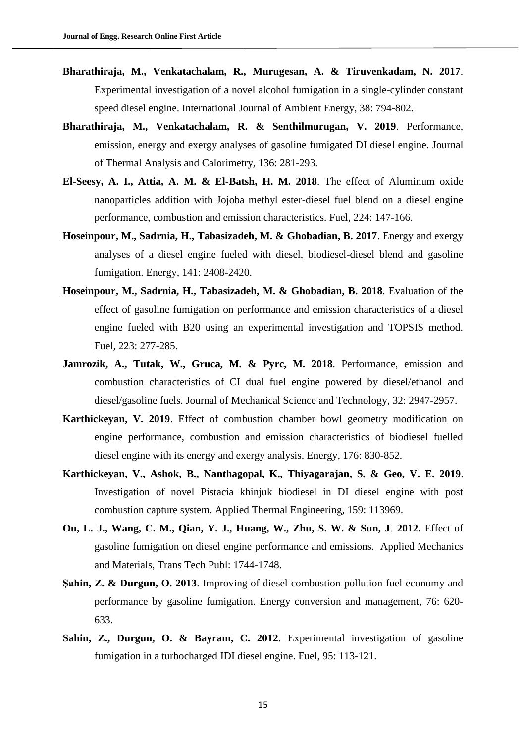- **Bharathiraja, M., Venkatachalam, R., Murugesan, A. & Tiruvenkadam, N. 2017**. Experimental investigation of a novel alcohol fumigation in a single-cylinder constant speed diesel engine. International Journal of Ambient Energy*,* 38: 794-802.
- **Bharathiraja, M., Venkatachalam, R. & Senthilmurugan, V. 2019**. Performance, emission, energy and exergy analyses of gasoline fumigated DI diesel engine. Journal of Thermal Analysis and Calorimetry*,* 136: 281-293.
- **El-Seesy, A. I., Attia, A. M. & El-Batsh, H. M. 2018**. The effect of Aluminum oxide nanoparticles addition with Jojoba methyl ester-diesel fuel blend on a diesel engine performance, combustion and emission characteristics. Fuel*,* 224: 147-166.
- **Hoseinpour, M., Sadrnia, H., Tabasizadeh, M. & Ghobadian, B. 2017**. Energy and exergy analyses of a diesel engine fueled with diesel, biodiesel-diesel blend and gasoline fumigation. Energy*,* 141: 2408-2420.
- **Hoseinpour, M., Sadrnia, H., Tabasizadeh, M. & Ghobadian, B. 2018**. Evaluation of the effect of gasoline fumigation on performance and emission characteristics of a diesel engine fueled with B20 using an experimental investigation and TOPSIS method. Fuel*,* 223: 277-285.
- Jamrozik, A., Tutak, W., Gruca, M. & Pyrc, M. 2018. Performance, emission and combustion characteristics of CI dual fuel engine powered by diesel/ethanol and diesel/gasoline fuels. Journal of Mechanical Science and Technology*,* 32: 2947-2957.
- **Karthickeyan, V. 2019**. Effect of combustion chamber bowl geometry modification on engine performance, combustion and emission characteristics of biodiesel fuelled diesel engine with its energy and exergy analysis. Energy*,* 176: 830-852.
- **Karthickeyan, V., Ashok, B., Nanthagopal, K., Thiyagarajan, S. & Geo, V. E. 2019**. Investigation of novel Pistacia khinjuk biodiesel in DI diesel engine with post combustion capture system. Applied Thermal Engineering*,* 159: 113969.
- **Ou, L. J., Wang, C. M., Qian, Y. J., Huang, W., Zhu, S. W. & Sun, J**. **2012.** Effect of gasoline fumigation on diesel engine performance and emissions. Applied Mechanics and Materials, Trans Tech Publ: 1744-1748.
- **Şahin, Z. & Durgun, O. 2013**. Improving of diesel combustion-pollution-fuel economy and performance by gasoline fumigation. Energy conversion and management*,* 76: 620- 633.
- **Sahin, Z., Durgun, O. & Bayram, C. 2012**. Experimental investigation of gasoline fumigation in a turbocharged IDI diesel engine. Fuel*,* 95: 113-121.